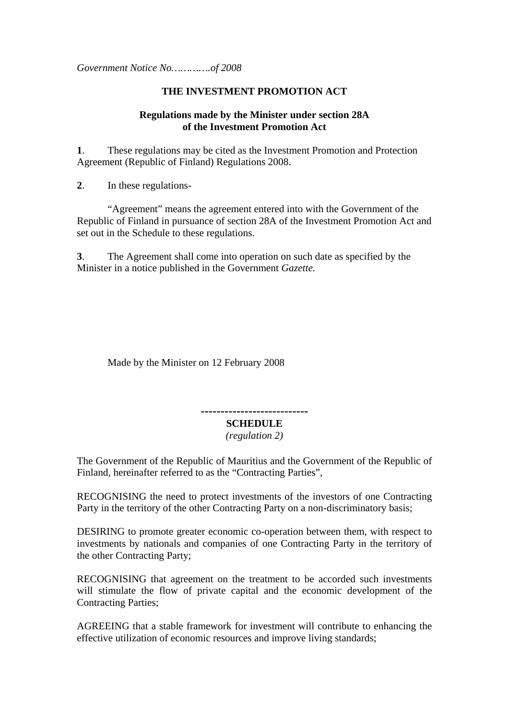*Government Notice No………….of 2008* 

# **THE INVESTMENT PROMOTION ACT**

# **Regulations made by the Minister under section 28A of the Investment Promotion Act**

**1**. These regulations may be cited as the Investment Promotion and Protection Agreement (Republic of Finland) Regulations 2008.

**2**. In these regulations-

"Agreement" means the agreement entered into with the Government of the Republic of Finland in pursuance of section 28A of the Investment Promotion Act and set out in the Schedule to these regulations.

**3**. The Agreement shall come into operation on such date as specified by the Minister in a notice published in the Government *Gazette.*

Made by the Minister on 12 February 2008

**---------------------------** 

# **SCHEDULE**

*(regulation 2)* 

The Government of the Republic of Mauritius and the Government of the Republic of Finland, hereinafter referred to as the "Contracting Parties",

RECOGNISING the need to protect investments of the investors of one Contracting Party in the territory of the other Contracting Party on a non-discriminatory basis;

DESIRING to promote greater economic co-operation between them, with respect to investments by nationals and companies of one Contracting Party in the territory of the other Contracting Party;

RECOGNISING that agreement on the treatment to be accorded such investments will stimulate the flow of private capital and the economic development of the Contracting Parties;

AGREEING that a stable framework for investment will contribute to enhancing the effective utilization of economic resources and improve living standards;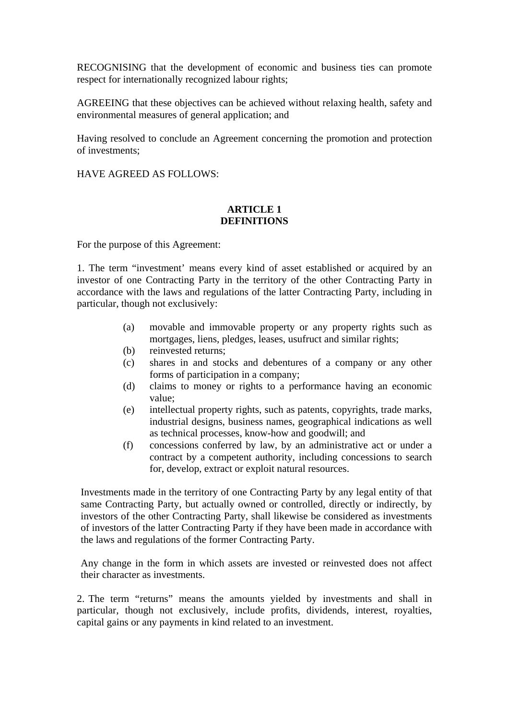RECOGNISING that the development of economic and business ties can promote respect for internationally recognized labour rights;

AGREEING that these objectives can be achieved without relaxing health, safety and environmental measures of general application; and

Having resolved to conclude an Agreement concerning the promotion and protection of investments;

HAVE AGREED AS FOLLOWS:

### **ARTICLE 1 DEFINITIONS**

For the purpose of this Agreement:

1. The term "investment' means every kind of asset established or acquired by an investor of one Contracting Party in the territory of the other Contracting Party in accordance with the laws and regulations of the latter Contracting Party, including in particular, though not exclusively:

- (a) movable and immovable property or any property rights such as mortgages, liens, pledges, leases, usufruct and similar rights;
- (b) reinvested returns;
- (c) shares in and stocks and debentures of a company or any other forms of participation in a company;
- (d) claims to money or rights to a performance having an economic value;
- (e) intellectual property rights, such as patents, copyrights, trade marks, industrial designs, business names, geographical indications as well as technical processes, know-how and goodwill; and
- (f) concessions conferred by law, by an administrative act or under a contract by a competent authority, including concessions to search for, develop, extract or exploit natural resources.

Investments made in the territory of one Contracting Party by any legal entity of that same Contracting Party, but actually owned or controlled, directly or indirectly, by investors of the other Contracting Party, shall likewise be considered as investments of investors of the latter Contracting Party if they have been made in accordance with the laws and regulations of the former Contracting Party.

Any change in the form in which assets are invested or reinvested does not affect their character as investments.

2. The term "returns" means the amounts yielded by investments and shall in particular, though not exclusively, include profits, dividends, interest, royalties, capital gains or any payments in kind related to an investment.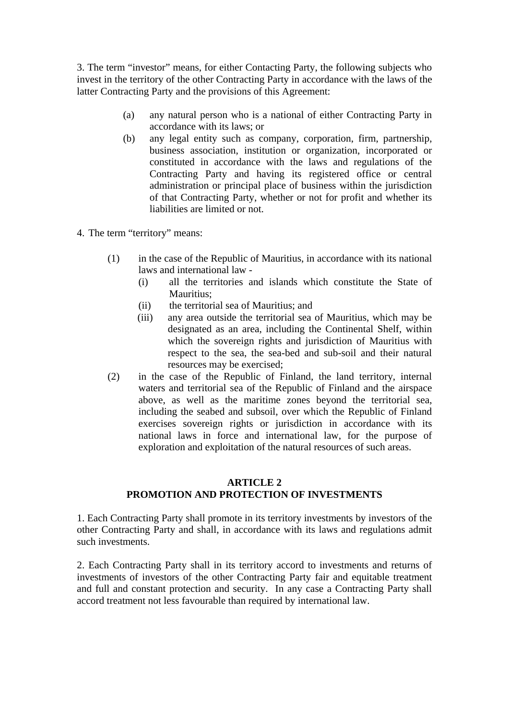3. The term "investor" means, for either Contacting Party, the following subjects who invest in the territory of the other Contracting Party in accordance with the laws of the latter Contracting Party and the provisions of this Agreement:

- (a) any natural person who is a national of either Contracting Party in accordance with its laws; or
- (b) any legal entity such as company, corporation, firm, partnership, business association, institution or organization, incorporated or constituted in accordance with the laws and regulations of the Contracting Party and having its registered office or central administration or principal place of business within the jurisdiction of that Contracting Party, whether or not for profit and whether its liabilities are limited or not.
- 4. The term "territory" means:
	- (1) in the case of the Republic of Mauritius, in accordance with its national laws and international law -
		- (i) all the territories and islands which constitute the State of Mauritius<sup>.</sup>
		- (ii) the territorial sea of Mauritius; and
		- (iii) any area outside the territorial sea of Mauritius, which may be designated as an area, including the Continental Shelf, within which the sovereign rights and jurisdiction of Mauritius with respect to the sea, the sea-bed and sub-soil and their natural resources may be exercised;
	- (2) in the case of the Republic of Finland, the land territory, internal waters and territorial sea of the Republic of Finland and the airspace above, as well as the maritime zones beyond the territorial sea, including the seabed and subsoil, over which the Republic of Finland exercises sovereign rights or jurisdiction in accordance with its national laws in force and international law, for the purpose of exploration and exploitation of the natural resources of such areas.

# **ARTICLE 2 PROMOTION AND PROTECTION OF INVESTMENTS**

1. Each Contracting Party shall promote in its territory investments by investors of the other Contracting Party and shall, in accordance with its laws and regulations admit such investments.

2. Each Contracting Party shall in its territory accord to investments and returns of investments of investors of the other Contracting Party fair and equitable treatment and full and constant protection and security. In any case a Contracting Party shall accord treatment not less favourable than required by international law.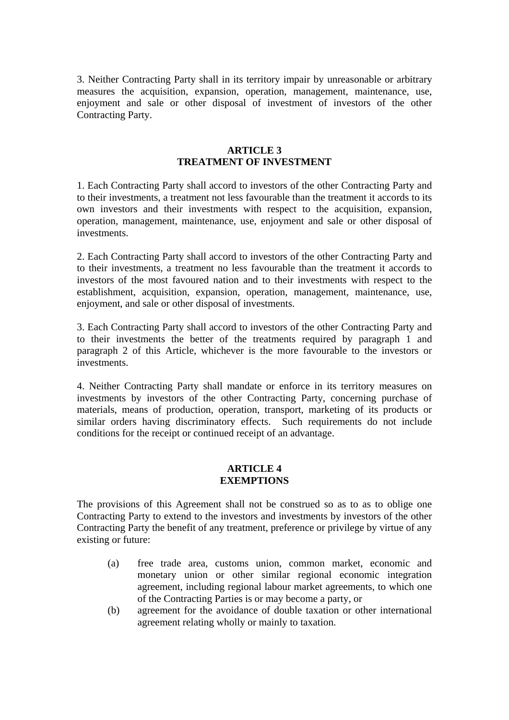3. Neither Contracting Party shall in its territory impair by unreasonable or arbitrary measures the acquisition, expansion, operation, management, maintenance, use, enjoyment and sale or other disposal of investment of investors of the other Contracting Party.

# **ARTICLE 3 TREATMENT OF INVESTMENT**

1. Each Contracting Party shall accord to investors of the other Contracting Party and to their investments, a treatment not less favourable than the treatment it accords to its own investors and their investments with respect to the acquisition, expansion, operation, management, maintenance, use, enjoyment and sale or other disposal of investments.

2. Each Contracting Party shall accord to investors of the other Contracting Party and to their investments, a treatment no less favourable than the treatment it accords to investors of the most favoured nation and to their investments with respect to the establishment, acquisition, expansion, operation, management, maintenance, use, enjoyment, and sale or other disposal of investments.

3. Each Contracting Party shall accord to investors of the other Contracting Party and to their investments the better of the treatments required by paragraph 1 and paragraph 2 of this Article, whichever is the more favourable to the investors or investments.

4. Neither Contracting Party shall mandate or enforce in its territory measures on investments by investors of the other Contracting Party, concerning purchase of materials, means of production, operation, transport, marketing of its products or similar orders having discriminatory effects. Such requirements do not include conditions for the receipt or continued receipt of an advantage.

### **ARTICLE 4 EXEMPTIONS**

The provisions of this Agreement shall not be construed so as to as to oblige one Contracting Party to extend to the investors and investments by investors of the other Contracting Party the benefit of any treatment, preference or privilege by virtue of any existing or future:

- (a) free trade area, customs union, common market, economic and monetary union or other similar regional economic integration agreement, including regional labour market agreements, to which one of the Contracting Parties is or may become a party, or
- (b) agreement for the avoidance of double taxation or other international agreement relating wholly or mainly to taxation.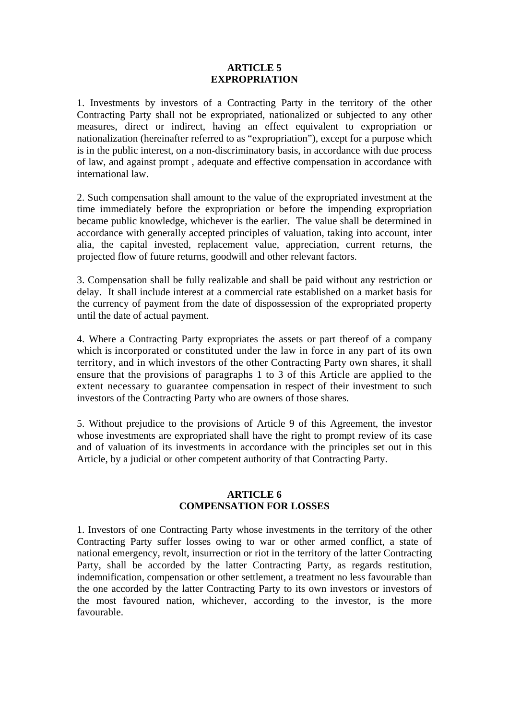### **ARTICLE 5 EXPROPRIATION**

1. Investments by investors of a Contracting Party in the territory of the other Contracting Party shall not be expropriated, nationalized or subjected to any other measures, direct or indirect, having an effect equivalent to expropriation or nationalization (hereinafter referred to as "expropriation"), except for a purpose which is in the public interest, on a non-discriminatory basis, in accordance with due process of law, and against prompt , adequate and effective compensation in accordance with international law.

2. Such compensation shall amount to the value of the expropriated investment at the time immediately before the expropriation or before the impending expropriation became public knowledge, whichever is the earlier. The value shall be determined in accordance with generally accepted principles of valuation, taking into account, inter alia, the capital invested, replacement value, appreciation, current returns, the projected flow of future returns, goodwill and other relevant factors.

3. Compensation shall be fully realizable and shall be paid without any restriction or delay. It shall include interest at a commercial rate established on a market basis for the currency of payment from the date of dispossession of the expropriated property until the date of actual payment.

4. Where a Contracting Party expropriates the assets or part thereof of a company which is incorporated or constituted under the law in force in any part of its own territory, and in which investors of the other Contracting Party own shares, it shall ensure that the provisions of paragraphs 1 to 3 of this Article are applied to the extent necessary to guarantee compensation in respect of their investment to such investors of the Contracting Party who are owners of those shares.

5. Without prejudice to the provisions of Article 9 of this Agreement, the investor whose investments are expropriated shall have the right to prompt review of its case and of valuation of its investments in accordance with the principles set out in this Article, by a judicial or other competent authority of that Contracting Party.

# **ARTICLE 6 COMPENSATION FOR LOSSES**

1. Investors of one Contracting Party whose investments in the territory of the other Contracting Party suffer losses owing to war or other armed conflict, a state of national emergency, revolt, insurrection or riot in the territory of the latter Contracting Party, shall be accorded by the latter Contracting Party, as regards restitution, indemnification, compensation or other settlement, a treatment no less favourable than the one accorded by the latter Contracting Party to its own investors or investors of the most favoured nation, whichever, according to the investor, is the more favourable.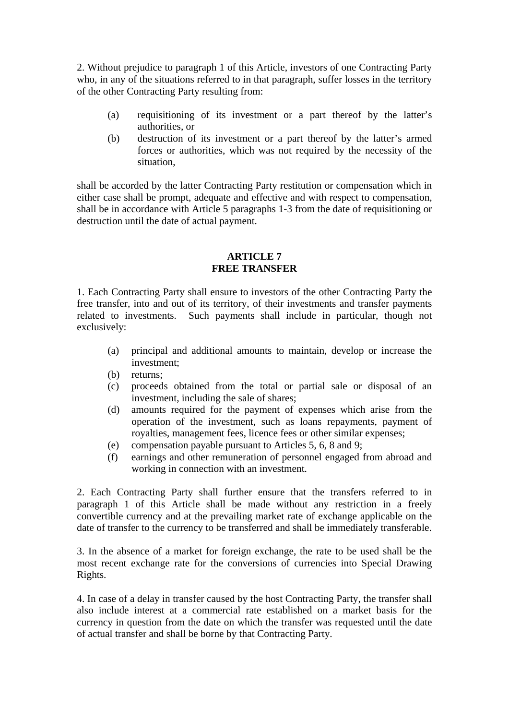2. Without prejudice to paragraph 1 of this Article, investors of one Contracting Party who, in any of the situations referred to in that paragraph, suffer losses in the territory of the other Contracting Party resulting from:

- (a) requisitioning of its investment or a part thereof by the latter's authorities, or
- (b) destruction of its investment or a part thereof by the latter's armed forces or authorities, which was not required by the necessity of the situation,

shall be accorded by the latter Contracting Party restitution or compensation which in either case shall be prompt, adequate and effective and with respect to compensation, shall be in accordance with Article 5 paragraphs 1-3 from the date of requisitioning or destruction until the date of actual payment.

# **ARTICLE 7 FREE TRANSFER**

1. Each Contracting Party shall ensure to investors of the other Contracting Party the free transfer, into and out of its territory, of their investments and transfer payments related to investments. Such payments shall include in particular, though not exclusively:

- (a) principal and additional amounts to maintain, develop or increase the investment;
- (b) returns;
- (c) proceeds obtained from the total or partial sale or disposal of an investment, including the sale of shares;
- (d) amounts required for the payment of expenses which arise from the operation of the investment, such as loans repayments, payment of royalties, management fees, licence fees or other similar expenses;
- (e) compensation payable pursuant to Articles 5, 6, 8 and 9;
- (f) earnings and other remuneration of personnel engaged from abroad and working in connection with an investment.

2. Each Contracting Party shall further ensure that the transfers referred to in paragraph 1 of this Article shall be made without any restriction in a freely convertible currency and at the prevailing market rate of exchange applicable on the date of transfer to the currency to be transferred and shall be immediately transferable.

3. In the absence of a market for foreign exchange, the rate to be used shall be the most recent exchange rate for the conversions of currencies into Special Drawing Rights.

4. In case of a delay in transfer caused by the host Contracting Party, the transfer shall also include interest at a commercial rate established on a market basis for the currency in question from the date on which the transfer was requested until the date of actual transfer and shall be borne by that Contracting Party.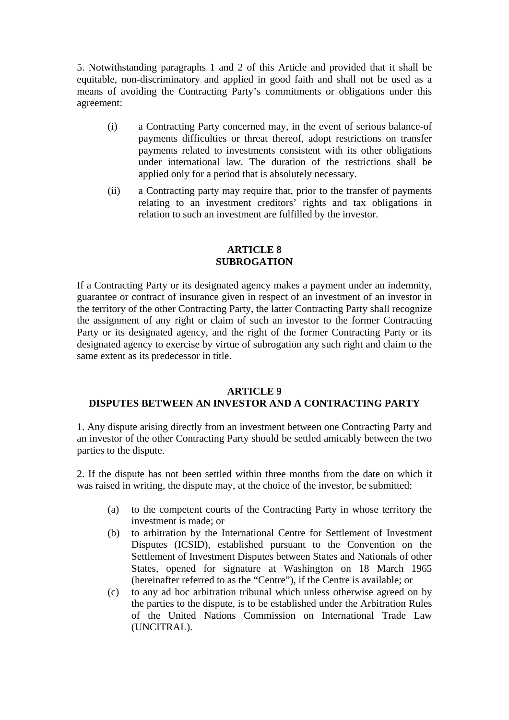5. Notwithstanding paragraphs 1 and 2 of this Article and provided that it shall be equitable, non-discriminatory and applied in good faith and shall not be used as a means of avoiding the Contracting Party's commitments or obligations under this agreement:

- (i) a Contracting Party concerned may, in the event of serious balance-of payments difficulties or threat thereof, adopt restrictions on transfer payments related to investments consistent with its other obligations under international law. The duration of the restrictions shall be applied only for a period that is absolutely necessary.
- (ii) a Contracting party may require that, prior to the transfer of payments relating to an investment creditors' rights and tax obligations in relation to such an investment are fulfilled by the investor.

# **ARTICLE 8 SUBROGATION**

If a Contracting Party or its designated agency makes a payment under an indemnity, guarantee or contract of insurance given in respect of an investment of an investor in the territory of the other Contracting Party, the latter Contracting Party shall recognize the assignment of any right or claim of such an investor to the former Contracting Party or its designated agency, and the right of the former Contracting Party or its designated agency to exercise by virtue of subrogation any such right and claim to the same extent as its predecessor in title.

# **ARTICLE 9**

# **DISPUTES BETWEEN AN INVESTOR AND A CONTRACTING PARTY**

1. Any dispute arising directly from an investment between one Contracting Party and an investor of the other Contracting Party should be settled amicably between the two parties to the dispute.

2. If the dispute has not been settled within three months from the date on which it was raised in writing, the dispute may, at the choice of the investor, be submitted:

- (a) to the competent courts of the Contracting Party in whose territory the investment is made; or
- (b) to arbitration by the International Centre for Settlement of Investment Disputes (ICSID), established pursuant to the Convention on the Settlement of Investment Disputes between States and Nationals of other States, opened for signature at Washington on 18 March 1965 (hereinafter referred to as the "Centre"), if the Centre is available; or
- (c) to any ad hoc arbitration tribunal which unless otherwise agreed on by the parties to the dispute, is to be established under the Arbitration Rules of the United Nations Commission on International Trade Law (UNCITRAL).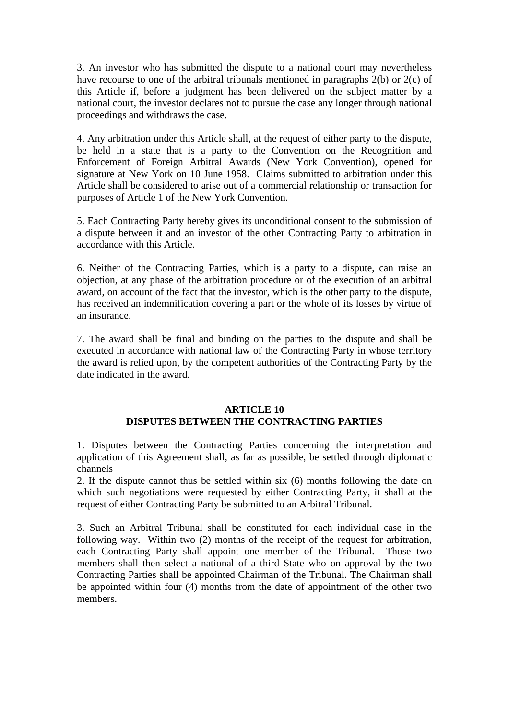3. An investor who has submitted the dispute to a national court may nevertheless have recourse to one of the arbitral tribunals mentioned in paragraphs 2(b) or 2(c) of this Article if, before a judgment has been delivered on the subject matter by a national court, the investor declares not to pursue the case any longer through national proceedings and withdraws the case.

4. Any arbitration under this Article shall, at the request of either party to the dispute, be held in a state that is a party to the Convention on the Recognition and Enforcement of Foreign Arbitral Awards (New York Convention), opened for signature at New York on 10 June 1958. Claims submitted to arbitration under this Article shall be considered to arise out of a commercial relationship or transaction for purposes of Article 1 of the New York Convention.

5. Each Contracting Party hereby gives its unconditional consent to the submission of a dispute between it and an investor of the other Contracting Party to arbitration in accordance with this Article.

6. Neither of the Contracting Parties, which is a party to a dispute, can raise an objection, at any phase of the arbitration procedure or of the execution of an arbitral award, on account of the fact that the investor, which is the other party to the dispute, has received an indemnification covering a part or the whole of its losses by virtue of an insurance.

7. The award shall be final and binding on the parties to the dispute and shall be executed in accordance with national law of the Contracting Party in whose territory the award is relied upon, by the competent authorities of the Contracting Party by the date indicated in the award.

# **ARTICLE 10 DISPUTES BETWEEN THE CONTRACTING PARTIES**

1. Disputes between the Contracting Parties concerning the interpretation and application of this Agreement shall, as far as possible, be settled through diplomatic channels

2. If the dispute cannot thus be settled within six (6) months following the date on which such negotiations were requested by either Contracting Party, it shall at the request of either Contracting Party be submitted to an Arbitral Tribunal.

3. Such an Arbitral Tribunal shall be constituted for each individual case in the following way. Within two (2) months of the receipt of the request for arbitration, each Contracting Party shall appoint one member of the Tribunal. Those two members shall then select a national of a third State who on approval by the two Contracting Parties shall be appointed Chairman of the Tribunal. The Chairman shall be appointed within four (4) months from the date of appointment of the other two members.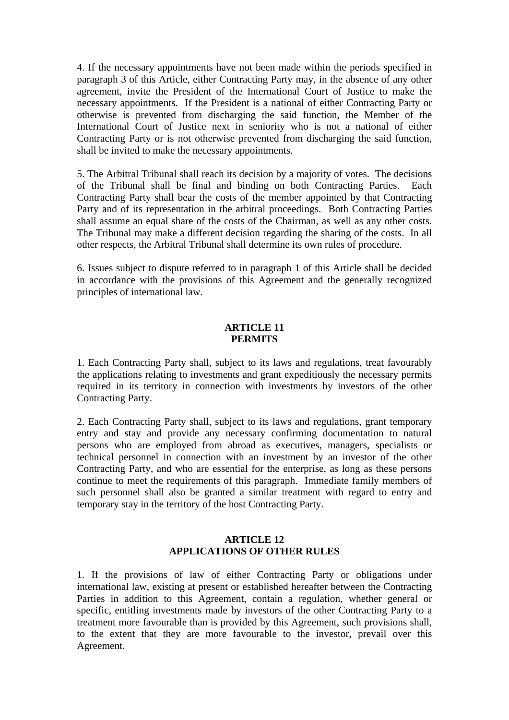4. If the necessary appointments have not been made within the periods specified in paragraph 3 of this Article, either Contracting Party may, in the absence of any other agreement, invite the President of the International Court of Justice to make the necessary appointments. If the President is a national of either Contracting Party or otherwise is prevented from discharging the said function, the Member of the International Court of Justice next in seniority who is not a national of either Contracting Party or is not otherwise prevented from discharging the said function, shall be invited to make the necessary appointments.

5. The Arbitral Tribunal shall reach its decision by a majority of votes. The decisions of the Tribunal shall be final and binding on both Contracting Parties. Each Contracting Party shall bear the costs of the member appointed by that Contracting Party and of its representation in the arbitral proceedings. Both Contracting Parties shall assume an equal share of the costs of the Chairman, as well as any other costs. The Tribunal may make a different decision regarding the sharing of the costs. In all other respects, the Arbitral Tribunal shall determine its own rules of procedure.

6. Issues subject to dispute referred to in paragraph 1 of this Article shall be decided in accordance with the provisions of this Agreement and the generally recognized principles of international law.

### **ARTICLE 11 PERMITS**

1. Each Contracting Party shall, subject to its laws and regulations, treat favourably the applications relating to investments and grant expeditiously the necessary permits required in its territory in connection with investments by investors of the other Contracting Party.

2. Each Contracting Party shall, subject to its laws and regulations, grant temporary entry and stay and provide any necessary confirming documentation to natural persons who are employed from abroad as executives, managers, specialists or technical personnel in connection with an investment by an investor of the other Contracting Party, and who are essential for the enterprise, as long as these persons continue to meet the requirements of this paragraph. Immediate family members of such personnel shall also be granted a similar treatment with regard to entry and temporary stay in the territory of the host Contracting Party.

# **ARTICLE 12 APPLICATIONS OF OTHER RULES**

1. If the provisions of law of either Contracting Party or obligations under international law, existing at present or established hereafter between the Contracting Parties in addition to this Agreement, contain a regulation, whether general or specific, entitling investments made by investors of the other Contracting Party to a treatment more favourable than is provided by this Agreement, such provisions shall, to the extent that they are more favourable to the investor, prevail over this Agreement.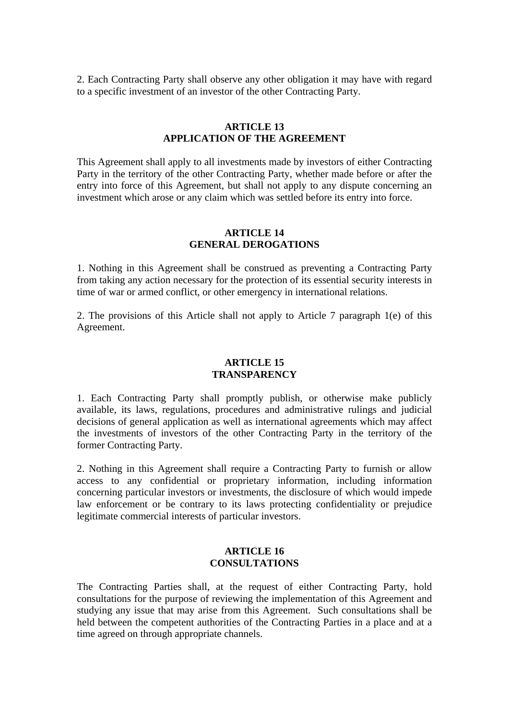2. Each Contracting Party shall observe any other obligation it may have with regard to a specific investment of an investor of the other Contracting Party.

# **ARTICLE 13 APPLICATION OF THE AGREEMENT**

This Agreement shall apply to all investments made by investors of either Contracting Party in the territory of the other Contracting Party, whether made before or after the entry into force of this Agreement, but shall not apply to any dispute concerning an investment which arose or any claim which was settled before its entry into force.

### **ARTICLE 14 GENERAL DEROGATIONS**

1. Nothing in this Agreement shall be construed as preventing a Contracting Party from taking any action necessary for the protection of its essential security interests in time of war or armed conflict, or other emergency in international relations.

2. The provisions of this Article shall not apply to Article 7 paragraph 1(e) of this Agreement.

# **ARTICLE 15 TRANSPARENCY**

1. Each Contracting Party shall promptly publish, or otherwise make publicly available, its laws, regulations, procedures and administrative rulings and judicial decisions of general application as well as international agreements which may affect the investments of investors of the other Contracting Party in the territory of the former Contracting Party.

2. Nothing in this Agreement shall require a Contracting Party to furnish or allow access to any confidential or proprietary information, including information concerning particular investors or investments, the disclosure of which would impede law enforcement or be contrary to its laws protecting confidentiality or prejudice legitimate commercial interests of particular investors.

# **ARTICLE 16 CONSULTATIONS**

The Contracting Parties shall, at the request of either Contracting Party, hold consultations for the purpose of reviewing the implementation of this Agreement and studying any issue that may arise from this Agreement. Such consultations shall be held between the competent authorities of the Contracting Parties in a place and at a time agreed on through appropriate channels.